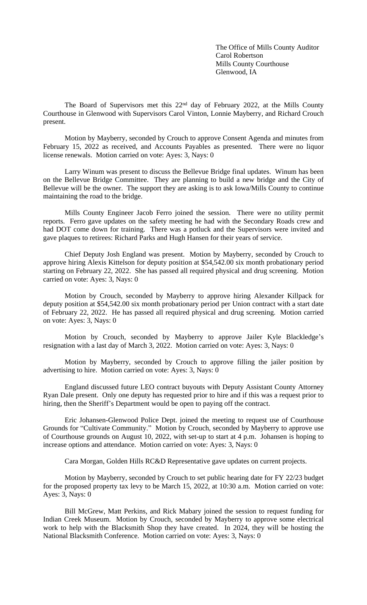The Office of Mills County Auditor Carol Robertson Mills County Courthouse Glenwood, IA

The Board of Supervisors met this 22nd day of February 2022, at the Mills County Courthouse in Glenwood with Supervisors Carol Vinton, Lonnie Mayberry, and Richard Crouch present.

Motion by Mayberry, seconded by Crouch to approve Consent Agenda and minutes from February 15, 2022 as received, and Accounts Payables as presented. There were no liquor license renewals. Motion carried on vote: Ayes: 3, Nays: 0

Larry Winum was present to discuss the Bellevue Bridge final updates. Winum has been on the Bellevue Bridge Committee. They are planning to build a new bridge and the City of Bellevue will be the owner. The support they are asking is to ask Iowa/Mills County to continue maintaining the road to the bridge.

Mills County Engineer Jacob Ferro joined the session. There were no utility permit reports. Ferro gave updates on the safety meeting he had with the Secondary Roads crew and had DOT come down for training. There was a potluck and the Supervisors were invited and gave plaques to retirees: Richard Parks and Hugh Hansen for their years of service.

Chief Deputy Josh England was present. Motion by Mayberry, seconded by Crouch to approve hiring Alexis Kittelson for deputy position at \$54,542.00 six month probationary period starting on February 22, 2022. She has passed all required physical and drug screening. Motion carried on vote: Ayes: 3, Nays: 0

Motion by Crouch, seconded by Mayberry to approve hiring Alexander Killpack for deputy position at \$54,542.00 six month probationary period per Union contract with a start date of February 22, 2022. He has passed all required physical and drug screening. Motion carried on vote: Ayes: 3, Nays: 0

Motion by Crouch, seconded by Mayberry to approve Jailer Kyle Blackledge's resignation with a last day of March 3, 2022. Motion carried on vote: Ayes: 3, Nays: 0

Motion by Mayberry, seconded by Crouch to approve filling the jailer position by advertising to hire. Motion carried on vote: Ayes: 3, Nays: 0

England discussed future LEO contract buyouts with Deputy Assistant County Attorney Ryan Dale present. Only one deputy has requested prior to hire and if this was a request prior to hiring, then the Sheriff's Department would be open to paying off the contract.

Eric Johansen-Glenwood Police Dept. joined the meeting to request use of Courthouse Grounds for "Cultivate Community." Motion by Crouch, seconded by Mayberry to approve use of Courthouse grounds on August 10, 2022, with set-up to start at 4 p.m. Johansen is hoping to increase options and attendance. Motion carried on vote: Ayes: 3, Nays: 0

Cara Morgan, Golden Hills RC&D Representative gave updates on current projects.

Motion by Mayberry, seconded by Crouch to set public hearing date for FY 22/23 budget for the proposed property tax levy to be March 15, 2022, at 10:30 a.m. Motion carried on vote: Ayes: 3, Nays: 0

Bill McGrew, Matt Perkins, and Rick Mabary joined the session to request funding for Indian Creek Museum. Motion by Crouch, seconded by Mayberry to approve some electrical work to help with the Blacksmith Shop they have created. In 2024, they will be hosting the National Blacksmith Conference. Motion carried on vote: Ayes: 3, Nays: 0